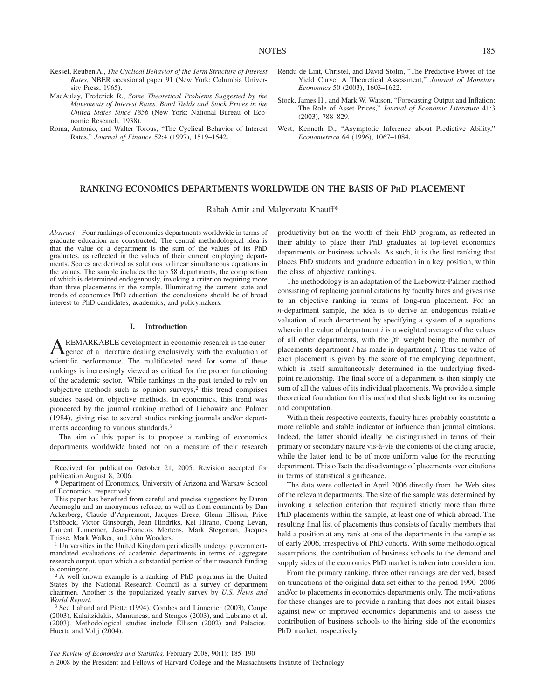- Kessel, Reuben A., *The Cyclical Behavior of the Term Structure of Interest Rates,* NBER occasional paper 91 (New York: Columbia University Press, 1965).
- MacAulay, Frederick R., *Some Theoretical Problems Suggested by the Movements of Interest Rates, Bond Yields and Stock Prices in the United States Since 1856* (New York: National Bureau of Economic Research, 1938).
- Roma, Antonio, and Walter Torous, "The Cyclical Behavior of Interest Rates," *Journal of Finance* 52:4 (1997), 1519–1542.
- Rendu de Lint, Christel, and David Stolin, "The Predictive Power of the Yield Curve: A Theoretical Assessment," *Journal of Monetary Economics* 50 (2003), 1603–1622.
- Stock, James H., and Mark W. Watson, "Forecasting Output and Inflation: The Role of Asset Prices," *Journal of Economic Literature* 41:3 (2003), 788–829.
- West, Kenneth D., "Asymptotic Inference about Predictive Ability," *Econometrica* 64 (1996), 1067–1084.

## **RANKING ECONOMICS DEPARTMENTS WORLDWIDE ON THE BASIS OF PHD PLACEMENT**

Rabah Amir and Malgorzata Knauff\*

*Abstract*—Four rankings of economics departments worldwide in terms of graduate education are constructed. The central methodological idea is that the value of a department is the sum of the values of its PhD graduates, as reflected in the values of their current employing departments. Scores are derived as solutions to linear simultaneous equations in the values. The sample includes the top 58 departments, the composition of which is determined endogenously, invoking a criterion requiring more than three placements in the sample. Illuminating the current state and trends of economics PhD education, the conclusions should be of broad interest to PhD candidates, academics, and policymakers.

## **I. Introduction**

AREMARKABLE development in economic research is the emer-<br>gence of a literature dealing exclusively with the evaluation of scientific performance. The multifaceted need for some of these rankings is increasingly viewed as critical for the proper functioning of the academic sector.1 While rankings in the past tended to rely on subjective methods such as opinion surveys,<sup>2</sup> this trend comprises studies based on objective methods. In economics, this trend was pioneered by the journal ranking method of Liebowitz and Palmer (1984), giving rise to several studies ranking journals and/or departments according to various standards.<sup>3</sup>

The aim of this paper is to propose a ranking of economics departments worldwide based not on a measure of their research productivity but on the worth of their PhD program, as reflected in their ability to place their PhD graduates at top-level economics departments or business schools. As such, it is the first ranking that places PhD students and graduate education in a key position, within the class of objective rankings.

The methodology is an adaptation of the Liebowitz-Palmer method consisting of replacing journal citations by faculty hires and gives rise to an objective ranking in terms of long-run placement. For an *n*-department sample, the idea is to derive an endogenous relative valuation of each department by specifying a system of *n* equations wherein the value of department *i* is a weighted average of the values of all other departments, with the *j*th weight being the number of placements department *i* has made in department *j.* Thus the value of each placement is given by the score of the employing department, which is itself simultaneously determined in the underlying fixedpoint relationship. The final score of a department is then simply the sum of all the values of its individual placements. We provide a simple theoretical foundation for this method that sheds light on its meaning and computation.

Within their respective contexts, faculty hires probably constitute a more reliable and stable indicator of influence than journal citations. Indeed, the latter should ideally be distinguished in terms of their primary or secondary nature vis-à-vis the contents of the citing article, while the latter tend to be of more uniform value for the recruiting department. This offsets the disadvantage of placements over citations in terms of statistical significance.

The data were collected in April 2006 directly from the Web sites of the relevant departments. The size of the sample was determined by invoking a selection criterion that required strictly more than three PhD placements within the sample, at least one of which abroad. The resulting final list of placements thus consists of faculty members that held a position at any rank at one of the departments in the sample as of early 2006, irrespective of PhD cohorts. With some methodological assumptions, the contribution of business schools to the demand and supply sides of the economics PhD market is taken into consideration.

From the primary ranking, three other rankings are derived, based on truncations of the original data set either to the period 1990–2006 and/or to placements in economics departments only. The motivations for these changes are to provide a ranking that does not entail biases against new or improved economics departments and to assess the contribution of business schools to the hiring side of the economics PhD market, respectively.

Received for publication October 21, 2005. Revision accepted for publication August 8, 2006.

<sup>\*</sup> Department of Economics, University of Arizona and Warsaw School of Economics, respectively.

This paper has benefited from careful and precise suggestions by Daron Acemoglu and an anonymous referee, as well as from comments by Dan Ackerberg, Claude d'Aspremont, Jacques Dreze, Glenn Ellison, Price Fishback, Victor Ginsburgh, Jean Hindriks, Kei Hirano, Cuong Levan, Laurent Linnemer, Jean-Francois Mertens, Mark Stegeman, Jacques Thisse, Mark Walker, and John Wooders.

<sup>&</sup>lt;sup>1</sup> Universities in the United Kingdom periodically undergo governmentmandated evaluations of academic departments in terms of aggregate research output, upon which a substantial portion of their research funding is contingent.

<sup>2</sup> A well-known example is a ranking of PhD programs in the United States by the National Research Council as a survey of department chairmen. Another is the popularized yearly survey by *U.S. News and World Report.*

<sup>3</sup> See Laband and Piette (1994), Combes and Linnemer (2003), Coupe (2003), Kalaitzidakis, Mamuneas, and Stengos (2003), and Lubrano et al. (2003). Methodological studies include Ellison (2002) and Palacios-Huerta and Volij (2004).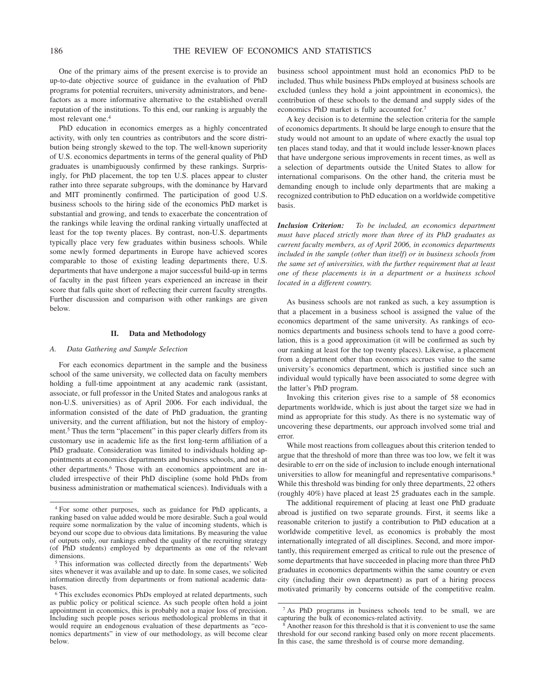One of the primary aims of the present exercise is to provide an up-to-date objective source of guidance in the evaluation of PhD programs for potential recruiters, university administrators, and benefactors as a more informative alternative to the established overall reputation of the institutions. To this end, our ranking is arguably the most relevant one.4

PhD education in economics emerges as a highly concentrated activity, with only ten countries as contributors and the score distribution being strongly skewed to the top. The well-known superiority of U.S. economics departments in terms of the general quality of PhD graduates is unambiguously confirmed by these rankings. Surprisingly, for PhD placement, the top ten U.S. places appear to cluster rather into three separate subgroups, with the dominance by Harvard and MIT prominently confirmed. The participation of good U.S. business schools to the hiring side of the economics PhD market is substantial and growing, and tends to exacerbate the concentration of the rankings while leaving the ordinal ranking virtually unaffected at least for the top twenty places. By contrast, non-U.S. departments typically place very few graduates within business schools. While some newly formed departments in Europe have achieved scores comparable to those of existing leading departments there, U.S. departments that have undergone a major successful build-up in terms of faculty in the past fifteen years experienced an increase in their score that falls quite short of reflecting their current faculty strengths. Further discussion and comparison with other rankings are given below.

## **II. Data and Methodology**

#### *A. Data Gathering and Sample Selection*

For each economics department in the sample and the business school of the same university, we collected data on faculty members holding a full-time appointment at any academic rank (assistant, associate, or full professor in the United States and analogous ranks at non-U.S. universities) as of April 2006. For each individual, the information consisted of the date of PhD graduation, the granting university, and the current affiliation, but not the history of employment.<sup>5</sup> Thus the term "placement" in this paper clearly differs from its customary use in academic life as the first long-term affiliation of a PhD graduate. Consideration was limited to individuals holding appointments at economics departments and business schools, and not at other departments.6 Those with an economics appointment are included irrespective of their PhD discipline (some hold PhDs from business administration or mathematical sciences). Individuals with a

business school appointment must hold an economics PhD to be included. Thus while business PhDs employed at business schools are excluded (unless they hold a joint appointment in economics), the contribution of these schools to the demand and supply sides of the economics PhD market is fully accounted for.7

A key decision is to determine the selection criteria for the sample of economics departments. It should be large enough to ensure that the study would not amount to an update of where exactly the usual top ten places stand today, and that it would include lesser-known places that have undergone serious improvements in recent times, as well as a selection of departments outside the United States to allow for international comparisons. On the other hand, the criteria must be demanding enough to include only departments that are making a recognized contribution to PhD education on a worldwide competitive basis.

*Inclusion Criterion: To be included, an economics department must have placed strictly more than three of its PhD graduates as current faculty members, as of April 2006, in economics departments included in the sample (other than itself) or in business schools from the same set of universities, with the further requirement that at least one of these placements is in a department or a business school located in a different country.*

As business schools are not ranked as such, a key assumption is that a placement in a business school is assigned the value of the economics department of the same university. As rankings of economics departments and business schools tend to have a good correlation, this is a good approximation (it will be confirmed as such by our ranking at least for the top twenty places). Likewise, a placement from a department other than economics accrues value to the same university's economics department, which is justified since such an individual would typically have been associated to some degree with the latter's PhD program.

Invoking this criterion gives rise to a sample of 58 economics departments worldwide, which is just about the target size we had in mind as appropriate for this study. As there is no systematic way of uncovering these departments, our approach involved some trial and error.

While most reactions from colleagues about this criterion tended to argue that the threshold of more than three was too low, we felt it was desirable to err on the side of inclusion to include enough international universities to allow for meaningful and representative comparisons.<sup>8</sup> While this threshold was binding for only three departments, 22 others (roughly 40%) have placed at least 25 graduates each in the sample.

The additional requirement of placing at least one PhD graduate abroad is justified on two separate grounds. First, it seems like a reasonable criterion to justify a contribution to PhD education at a worldwide competitive level, as economics is probably the most internationally integrated of all disciplines. Second, and more importantly, this requirement emerged as critical to rule out the presence of some departments that have succeeded in placing more than three PhD graduates in economics departments within the same country or even city (including their own department) as part of a hiring process motivated primarily by concerns outside of the competitive realm.

<sup>4</sup> For some other purposes, such as guidance for PhD applicants, a ranking based on value added would be more desirable. Such a goal would require some normalization by the value of incoming students, which is beyond our scope due to obvious data limitations. By measuring the value of outputs only, our rankings embed the quality of the recruiting strategy (of PhD students) employed by departments as one of the relevant dimensions.

<sup>5</sup> This information was collected directly from the departments' Web sites whenever it was available and up to date. In some cases, we solicited information directly from departments or from national academic databases.

<sup>6</sup> This excludes economics PhDs employed at related departments, such as public policy or political science. As such people often hold a joint appointment in economics, this is probably not a major loss of precision. Including such people poses serious methodological problems in that it would require an endogenous evaluation of these departments as "economics departments" in view of our methodology, as will become clear below.

<sup>7</sup> As PhD programs in business schools tend to be small, we are capturing the bulk of economics-related activity.

<sup>8</sup> Another reason for this threshold is that it is convenient to use the same threshold for our second ranking based only on more recent placements. In this case, the same threshold is of course more demanding.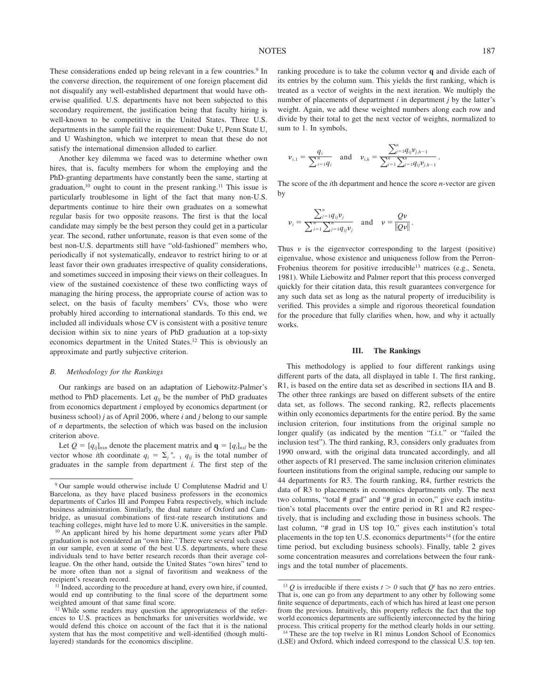These considerations ended up being relevant in a few countries.<sup>9</sup> In the converse direction, the requirement of one foreign placement did not disqualify any well-established department that would have otherwise qualified. U.S. departments have not been subjected to this secondary requirement, the justification being that faculty hiring is well-known to be competitive in the United States. Three U.S. departments in the sample fail the requirement: Duke U, Penn State U, and U Washington, which we interpret to mean that these do not satisfy the international dimension alluded to earlier.

Another key dilemma we faced was to determine whether own hires, that is, faculty members for whom the employing and the PhD-granting departments have constantly been the same, starting at graduation,10 ought to count in the present ranking.11 This issue is particularly troublesome in light of the fact that many non-U.S. departments continue to hire their own graduates on a somewhat regular basis for two opposite reasons. The first is that the local candidate may simply be the best person they could get in a particular year. The second, rather unfortunate, reason is that even some of the best non-U.S. departments still have "old-fashioned" members who, periodically if not systematically, endeavor to restrict hiring to or at least favor their own graduates irrespective of quality considerations, and sometimes succeed in imposing their views on their colleagues. In view of the sustained coexistence of these two conflicting ways of managing the hiring process, the appropriate course of action was to select, on the basis of faculty members' CVs, those who were probably hired according to international standards. To this end, we included all individuals whose CV is consistent with a positive tenure decision within six to nine years of PhD graduation at a top-sixty economics department in the United States.12 This is obviously an approximate and partly subjective criterion.

#### *B. Methodology for the Rankings*

Our rankings are based on an adaptation of Liebowitz-Palmer's method to PhD placements. Let *qij* be the number of PhD graduates from economics department *i* employed by economics department (or business school) *j* as of April 2006, where *i* and *j* belong to our sample of *n* departments, the selection of which was based on the inclusion criterion above.

Let  $Q = [q_{ij}]_{n \times n}$  denote the placement matrix and  $\mathbf{q} = [q_i]_{n \times l}$  be the vector whose *i*th coordinate  $q_i = \sum_{j=1}^{n} q_{ij}$  is the total number of graduates in the sample from department *i.* The first step of the ranking procedure is to take the column vector **q** and divide each of its entries by the column sum. This yields the first ranking, which is treated as a vector of weights in the next iteration. We multiply the number of placements of department  $i$  in department  $j$  by the latter's weight. Again, we add these weighted numbers along each row and divide by their total to get the next vector of weights, normalized to sum to 1. In symbols,

$$
\nu_{i,1} = \frac{q_i}{\sum_{i=1}^n q_i} \quad \text{and} \quad \nu_{i,h} = \frac{\sum_{j=1}^n q_{ij} \nu_{j,h-1}}{\sum_{i=1}^n \sum_{j=1}^n q_{ij} \nu_{j,h-1}}.
$$

The score of the *i*th department and hence the score *n*-vector are given by

$$
\nu_i = \frac{\sum_{j=1}^n q_{ij} \nu_j}{\sum_{i=1}^n \sum_{j=1}^n q_{ij} \nu_j} \text{ and } \nu = \frac{Q \nu}{\|Q \nu\|}.
$$

Thus  $\nu$  is the eigenvector corresponding to the largest (positive) eigenvalue, whose existence and uniqueness follow from the Perron-Frobenius theorem for positive irreducible<sup>13</sup> matrices (e.g., Seneta, 1981). While Liebowitz and Palmer report that this process converged quickly for their citation data, this result guarantees convergence for any such data set as long as the natural property of irreducibility is verified. This provides a simple and rigorous theoretical foundation for the procedure that fully clarifies when, how, and why it actually works.

#### **III. The Rankings**

This methodology is applied to four different rankings using different parts of the data, all displayed in table 1. The first ranking, R1, is based on the entire data set as described in sections IIA and B. The other three rankings are based on different subsets of the entire data set, as follows. The second ranking, R2, reflects placements within only economics departments for the entire period. By the same inclusion criterion, four institutions from the original sample no longer qualify (as indicated by the mention "f.i.t." or "failed the inclusion test"). The third ranking, R3, considers only graduates from 1990 onward, with the original data truncated accordingly, and all other aspects of R1 preserved. The same inclusion criterion eliminates fourteen institutions from the original sample, reducing our sample to 44 departments for R3. The fourth ranking, R4, further restricts the data of R3 to placements in economics departments only. The next two columns, "total # grad" and "# grad in econ," give each institution's total placements over the entire period in R1 and R2 respectively, that is including and excluding those in business schools. The last column, "# grad in US top 10," gives each institution's total placements in the top ten U.S. economics departments<sup>14</sup> (for the entire time period, but excluding business schools). Finally, table 2 gives some concentration measures and correlations between the four rankings and the total number of placements.

<sup>9</sup> Our sample would otherwise include U Complutense Madrid and U Barcelona, as they have placed business professors in the economics departments of Carlos III and Pompeu Fabra respectively, which include business administration. Similarly, the dual nature of Oxford and Cambridge, as unusual combinations of first-rate research institutions and teaching colleges, might have led to more U.K. universities in the sample.

<sup>10</sup> An applicant hired by his home department some years after PhD graduation is not considered an "own hire." There were several such cases in our sample, even at some of the best U.S. departments, where these individuals tend to have better research records than their average colleague. On the other hand, outside the United States "own hires" tend to be more often than not a signal of favoritism and weakness of the recipient's research record.

<sup>&</sup>lt;sup>11</sup> Indeed, according to the procedure at hand, every own hire, if counted, would end up contributing to the final score of the department some weighted amount of that same final score.

While some readers may question the appropriateness of the references to U.S. practices as benchmarks for universities worldwide, we would defend this choice on account of the fact that it is the national system that has the most competitive and well-identified (though multilayered) standards for the economics discipline.

<sup>&</sup>lt;sup>13</sup> *Q* is irreducible if there exists  $t > 0$  such that  $Q<sup>t</sup>$  has no zero entries. That is, one can go from any department to any other by following some finite sequence of departments, each of which has hired at least one person from the previous. Intuitively, this property reflects the fact that the top world economics departments are sufficiently interconnected by the hiring process. This critical property for the method clearly holds in our setting.

<sup>&</sup>lt;sup>14</sup> These are the top twelve in R1 minus London School of Economics (LSE) and Oxford, which indeed correspond to the classical U.S. top ten.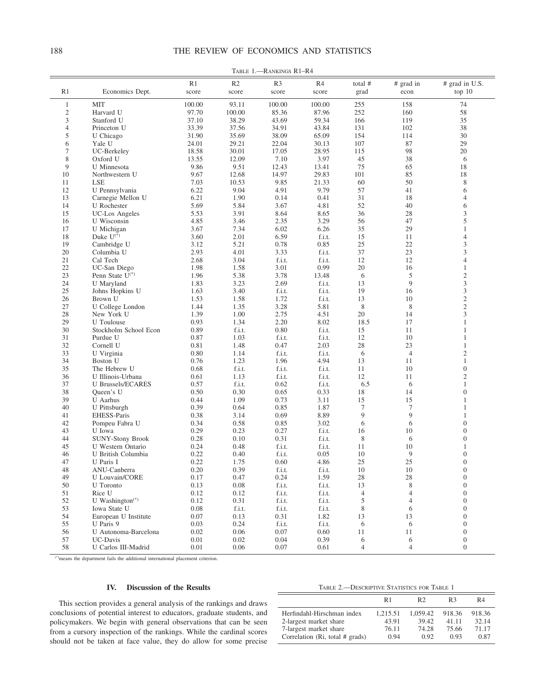|                |                             |             |             | TAITHTION TET           |             |                 |                   |                          |
|----------------|-----------------------------|-------------|-------------|-------------------------|-------------|-----------------|-------------------|--------------------------|
| R <sub>1</sub> | Economics Dept.             | R1<br>score | R2<br>score | R <sub>3</sub><br>score | R4<br>score | total #<br>grad | # grad in<br>econ | # grad in U.S.<br>top 10 |
| $\mathbf{1}$   | <b>MIT</b>                  | 100.00      | 93.11       | 100.00                  | 100.00      | 255             | 158               | 74                       |
| $\mathfrak{2}$ | Harvard U                   | 97.70       | 100.00      | 85.36                   | 87.96       | 252             | 160               | 58                       |
| 3              | Stanford U                  | 37.10       | 38.29       | 43.69                   | 59.34       | 166             | 119               | 35                       |
| $\overline{4}$ | Princeton U                 | 33.39       | 37.56       | 34.91                   | 43.84       | 131             | 102               | 38                       |
| 5              | U Chicago                   | 31.90       | 35.69       | 38.09                   | 65.09       | 154             | 114               | 30                       |
| 6              | Yale U                      | 24.01       | 29.21       | 22.04                   | 30.13       | 107             | 87                | 29                       |
| 7              | UC-Berkeley                 | 18.58       | 30.01       | 17.05                   | 28.95       | 115             | 98                | 20                       |
| 8              | Oxford U                    | 13.55       | 12.09       | 7.10                    | 3.97        | 45              | 38                | 6                        |
| 9              | U Minnesota                 | 9.86        | 9.51        | 12.43                   | 13.41       | 75              | 65                | 18                       |
| 10             | Northwestern U              | 9.67        | 12.68       | 14.97                   | 29.83       | 101             | 85                | 18                       |
| 11             | LSE                         | 7.03        | 10.53       | 9.85                    | 21.33       | 60              | 50                | $\,$ 8 $\,$              |
| 12             | U Pennsylvania              | 6.22        | 9.04        | 4.91                    | 9.79        | 57              | 41                | 6                        |
| 13             | Carnegie Mellon U           | 6.21        | 1.90        | 0.14                    | 0.41        | 31              | 18                | $\overline{4}$           |
| 14             | U Rochester                 | 5.69        | 5.84        | 3.67                    | 4.81        | 52              | 40                | 6                        |
| 15             | <b>UC-Los Angeles</b>       | 5.53        | 3.91        | 8.64                    | 8.65        | 36              | 28                | 3                        |
| 16             | U Wisconsin                 | 4.85        | 3.46        | 2.35                    | 3.29        | 56              | 47                | 5                        |
| 17             | U Michigan                  | 3.67        | 7.34        | 6.02                    | 6.26        | 35              | 29                | $\mathbf{1}$             |
| 18             | Duke $U^{(*)}$              | 3.60        | 2.01        | 6.59                    | f.i.t.      | 15              | 11                | $\overline{4}$           |
| 19             | Cambridge U                 | 3.12        | 5.21        | 0.78                    | 0.85        | 25              | $22\,$            | 3                        |
| 20             | Columbia U                  | 2.93        | 4.01        | 3.33                    | f.i.t.      | 37              | 23                | 3                        |
| 21             | Cal Tech                    | 2.68        | 3.04        | f.i.t.                  | f.i.t.      | 12              | 12                | $\overline{4}$           |
| 22             | UC-San Diego                | 1.98        | 1.58        | 3.01                    | 0.99        | 20              | 16                | $\mathbf{1}$             |
| 23             | Penn State $U^{(*)}$        | 1.96        | 5.38        | 3.78                    | 13.48       | 6               | 5                 | $\overline{\mathbf{c}}$  |
| 24             | U Maryland                  | 1.83        | 3.23        | 2.69                    | f.i.t.      | 13              | 9                 | 3                        |
| 25             | Johns Hopkins U             | 1.63        | 3.40        | f.i.t.                  | f.i.t.      | 19              | 16                | 3                        |
| 26             | Brown U                     | 1.53        | 1.58        | 1.72                    | f.i.t.      | 13              | 10                | $\mathfrak{2}$           |
| 27             | U College London            | 1.44        | 1.35        | 3.28                    | 5.81        | 8               | 8                 | $\overline{c}$           |
| 28             | New York U                  | 1.39        | 1.00        | 2.75                    | 4.51        | 20              | 14                | 3                        |
| 29             | U Toulouse                  | 0.93        | 1.34        | 2.20                    | 8.02        | 18.5            | 17                | $\mathbf{1}$             |
| 30             | Stockholm School Econ       | 0.89        | f.i.t.      | 0.80                    | f.i.t.      | 15              | 11                | 1                        |
| 31             | Purdue U                    | 0.87        | 1.03        | f.i.t.                  | f.i.t.      | 12              | 10                | $\mathbf{1}$             |
| 32             | Cornell U                   | 0.81        | 1.48        | 0.47                    | 2.03        | 28              | 23                | $\mathbf{1}$             |
| 33             | U Virginia                  | 0.80        | 1.14        | f.i.t.                  | f.i.t.      | 6               | $\overline{4}$    | $\overline{c}$           |
| 34             | Boston U                    | 0.76        | 1.23        | 1.96                    | 4.94        | 13              | 11                | $\mathbf{1}$             |
| 35             | The Hebrew U                | 0.68        | f.i.t.      | f.i.t.                  | f.i.t.      | 11              | 10                | $\boldsymbol{0}$         |
| 36             | U Illinois-Urbana           | 0.61        | 1.13        | f.i.t.                  | f.i.t.      | 12              | 11                | $\mathfrak{2}$           |
| 37             | <b>U</b> Brussels/ECARES    | 0.57        | f.i.t.      | 0.62                    | f.i.t.      | 6.5             | 6                 | $\mathbf{1}$             |
| 38             | Queen's U                   | 0.50        | 0.30        | 0.65                    | 0.33        | 18              | 14                | $\overline{0}$           |
| 39             | <b>U</b> Aarhus             | 0.44        | 1.09        | 0.73                    | 3.11        | 15              | 15                | $\mathbf{1}$             |
| 40             | U Pittsburgh                | 0.39        | 0.64        | 0.85                    | 1.87        | 7               | 7                 | 1                        |
| 41             | EHESS-Paris                 | 0.38        | 3.14        | 0.69                    | 8.89        | 9               | 9                 | $\mathbf{1}$             |
| 42             | Pompeu Fabra U              | 0.34        | 0.58        | 0.85                    | 3.02        | 6               | 6                 | $\boldsymbol{0}$         |
| 43             | U Iowa                      | 0.29        | 0.23        | 0.27                    | f.i.t.      | 16              | 10                | $\boldsymbol{0}$         |
| 44             | <b>SUNY-Stony Brook</b>     | 0.28        | 0.10        | 0.31                    | f.i.t.      | 8               | 6                 | $\boldsymbol{0}$         |
| 45             | U Western Ontario           | 0.24        | 0.48        | f.i.t.                  | f.i.t.      | 11              | 10                | $\mathbf{1}$             |
| 46             | U British Columbia          | 0.22        | 0.40        | f.i.t.                  | 0.05        | 10              | 9                 | $\boldsymbol{0}$         |
| 47             | U Paris I                   | 0.22        | 1.75        | 0.60                    | 4.86        | 25              | $25\,$            | $\mathbf{0}$             |
| 48             | ANU-Canberra                | 0.20        | 0.39        | f.i.t.                  | f.i.t.      | 10              | 10                | $\boldsymbol{0}$         |
| 49             | U Louvain/CORE              | 0.17        | 0.47        | 0.24                    | 1.59        | $28\,$          | $28\,$            | $\boldsymbol{0}$         |
| 50             | U Toronto                   | 0.13        | 0.08        | f.i.t.                  | f.i.t.      | 13              | $\,$ 8 $\,$       | $\mathbf{0}$             |
| 51             | Rice U                      | 0.12        | 0.12        | f.i.t.                  | f.i.t.      | $\overline{4}$  | $\overline{4}$    | $\mathbf{0}$             |
| 52             | U Washington <sup>(*)</sup> | 0.12        | 0.31        | f.i.t.                  | f.i.t.      | $\sqrt{5}$      | $\overline{4}$    | $\mathbf{0}$             |
| 53             | Iowa State U                | 0.08        | f.i.t.      | f.i.t.                  | f.i.t.      | 8               | 6                 | $\mathbf{0}$             |
| 54             | European U Institute        | 0.07        | 0.13        | 0.31                    | 1.82        | 13              | 13                | $\mathbf{0}$             |
| 55             | U Paris 9                   | 0.03        | 0.24        | f.i.t.                  | f.i.t.      | 6               | 6                 | $\mathbf{0}$             |
| 56             | U Autonoma-Barcelona        | 0.02        | 0.06        | 0.07                    | 0.60        | 11              | 11                | $\mathbf{0}$             |
| 57             | UC-Davis                    | 0.01        | 0.02        | 0.04                    | 0.39        | 6               | 6                 | $\mathbf{0}$             |
| 58             | U Carlos III-Madrid         | 0.01        | 0.06        | 0.07                    | 0.61        | $\overline{4}$  | $\overline{4}$    | $\boldsymbol{0}$         |

TABLE 1.—RANKINGS R1–R4

(\*)means the department fails the additional international placement criterion.

# **IV. Discussion of the Results**

TABLE 2.—DESCRIPTIVE STATISTICS FOR TABLE 1

This section provides a general analysis of the rankings and draws conclusions of potential interest to educators, graduate students, and policymakers. We begin with general observations that can be seen from a cursory inspection of the rankings. While the cardinal scores should not be taken at face value, they do allow for some precise

|                                 | R1       | R <sub>2</sub> | R <sub>3</sub> | R4     |
|---------------------------------|----------|----------------|----------------|--------|
| Herfindahl-Hirschman index      | 1.215.51 | 1.059.42       | 918.36         | 918.36 |
| 2-largest market share          | 43.91    | 39.42          | 41.11          | 32.14  |
| 7-largest market share          | 76.11    | 74.28          | 75.66          | 71.17  |
| Correlation (Ri, total # grads) | 0.94     | 0.92           | 0.93           | 0.87   |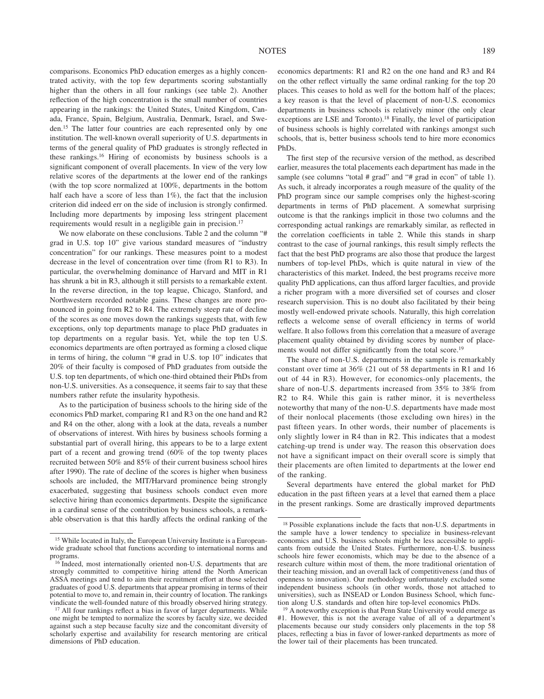comparisons. Economics PhD education emerges as a highly concentrated activity, with the top few departments scoring substantially higher than the others in all four rankings (see table 2). Another reflection of the high concentration is the small number of countries appearing in the rankings: the United States, United Kingdom, Canada, France, Spain, Belgium, Australia, Denmark, Israel, and Sweden.15 The latter four countries are each represented only by one institution. The well-known overall superiority of U.S. departments in terms of the general quality of PhD graduates is strongly reflected in these rankings.16 Hiring of economists by business schools is a significant component of overall placements. In view of the very low relative scores of the departments at the lower end of the rankings (with the top score normalized at 100%, departments in the bottom half each have a score of less than 1%), the fact that the inclusion criterion did indeed err on the side of inclusion is strongly confirmed. Including more departments by imposing less stringent placement requirements would result in a negligible gain in precision.<sup>17</sup>

We now elaborate on these conclusions. Table 2 and the column "# grad in U.S. top 10" give various standard measures of "industry concentration" for our rankings. These measures point to a modest decrease in the level of concentration over time (from R1 to R3). In particular, the overwhelming dominance of Harvard and MIT in R1 has shrunk a bit in R3, although it still persists to a remarkable extent. In the reverse direction, in the top league, Chicago, Stanford, and Northwestern recorded notable gains. These changes are more pronounced in going from R2 to R4. The extremely steep rate of decline of the scores as one moves down the rankings suggests that, with few exceptions, only top departments manage to place PhD graduates in top departments on a regular basis. Yet, while the top ten U.S. economics departments are often portrayed as forming a closed clique in terms of hiring, the column "# grad in U.S. top 10" indicates that 20% of their faculty is composed of PhD graduates from outside the U.S. top ten departments, of which one-third obtained their PhDs from non-U.S. universities. As a consequence, it seems fair to say that these numbers rather refute the insularity hypothesis.

As to the participation of business schools to the hiring side of the economics PhD market, comparing R1 and R3 on the one hand and R2 and R4 on the other, along with a look at the data, reveals a number of observations of interest. With hires by business schools forming a substantial part of overall hiring, this appears to be to a large extent part of a recent and growing trend (60% of the top twenty places recruited between 50% and 85% of their current business school hires after 1990). The rate of decline of the scores is higher when business schools are included, the MIT/Harvard prominence being strongly exacerbated, suggesting that business schools conduct even more selective hiring than economics departments. Despite the significance in a cardinal sense of the contribution by business schools, a remarkable observation is that this hardly affects the ordinal ranking of the

economics departments: R1 and R2 on the one hand and R3 and R4 on the other reflect virtually the same ordinal ranking for the top 20 places. This ceases to hold as well for the bottom half of the places; a key reason is that the level of placement of non-U.S. economics departments in business schools is relatively minor (the only clear exceptions are LSE and Toronto).<sup>18</sup> Finally, the level of participation of business schools is highly correlated with rankings amongst such schools, that is, better business schools tend to hire more economics PhDs.

The first step of the recursive version of the method, as described earlier, measures the total placements each department has made in the sample (see columns "total # grad" and "# grad in econ" of table 1). As such, it already incorporates a rough measure of the quality of the PhD program since our sample comprises only the highest-scoring departments in terms of PhD placement. A somewhat surprising outcome is that the rankings implicit in those two columns and the corresponding actual rankings are remarkably similar, as reflected in the correlation coefficients in table 2. While this stands in sharp contrast to the case of journal rankings, this result simply reflects the fact that the best PhD programs are also those that produce the largest numbers of top-level PhDs, which is quite natural in view of the characteristics of this market. Indeed, the best programs receive more quality PhD applications, can thus afford larger faculties, and provide a richer program with a more diversified set of courses and closer research supervision. This is no doubt also facilitated by their being mostly well-endowed private schools. Naturally, this high correlation reflects a welcome sense of overall efficiency in terms of world welfare. It also follows from this correlation that a measure of average placement quality obtained by dividing scores by number of placements would not differ significantly from the total score.<sup>19</sup>

The share of non-U.S. departments in the sample is remarkably constant over time at 36% (21 out of 58 departments in R1 and 16 out of 44 in R3). However, for economics-only placements, the share of non-U.S. departments increased from 35% to 38% from R2 to R4. While this gain is rather minor, it is nevertheless noteworthy that many of the non-U.S. departments have made most of their nonlocal placements (those excluding own hires) in the past fifteen years. In other words, their number of placements is only slightly lower in R4 than in R2. This indicates that a modest catching-up trend is under way. The reason this observation does not have a significant impact on their overall score is simply that their placements are often limited to departments at the lower end of the ranking.

Several departments have entered the global market for PhD education in the past fifteen years at a level that earned them a place in the present rankings. Some are drastically improved departments

<sup>&</sup>lt;sup>15</sup> While located in Italy, the European University Institute is a Europeanwide graduate school that functions according to international norms and programs.

<sup>&</sup>lt;sup>16</sup> Indeed, most internationally oriented non-U.S. departments that are strongly committed to competitive hiring attend the North American ASSA meetings and tend to aim their recruitment effort at those selected graduates of good U.S. departments that appear promising in terms of their potential to move to, and remain in, their country of location. The rankings vindicate the well-founded nature of this broadly observed hiring strategy.

<sup>&</sup>lt;sup>17</sup> All four rankings reflect a bias in favor of larger departments. While one might be tempted to normalize the scores by faculty size, we decided against such a step because faculty size and the concomitant diversity of scholarly expertise and availability for research mentoring are critical dimensions of PhD education.

<sup>&</sup>lt;sup>18</sup> Possible explanations include the facts that non-U.S. departments in the sample have a lower tendency to specialize in business-relevant economics and U.S. business schools might be less accessible to applicants from outside the United States. Furthermore, non-U.S. business schools hire fewer economists, which may be due to the absence of a research culture within most of them, the more traditional orientation of their teaching mission, and an overall lack of competitiveness (and thus of openness to innovation). Our methodology unfortunately excluded some independent business schools (in other words, those not attached to universities), such as INSEAD or London Business School, which function along U.S. standards and often hire top-level economics PhDs.

<sup>19</sup> A noteworthy exception is that Penn State University would emerge as #1. However, this is not the average value of all of a department's placements because our study considers only placements in the top 58 places, reflecting a bias in favor of lower-ranked departments as more of the lower tail of their placements has been truncated.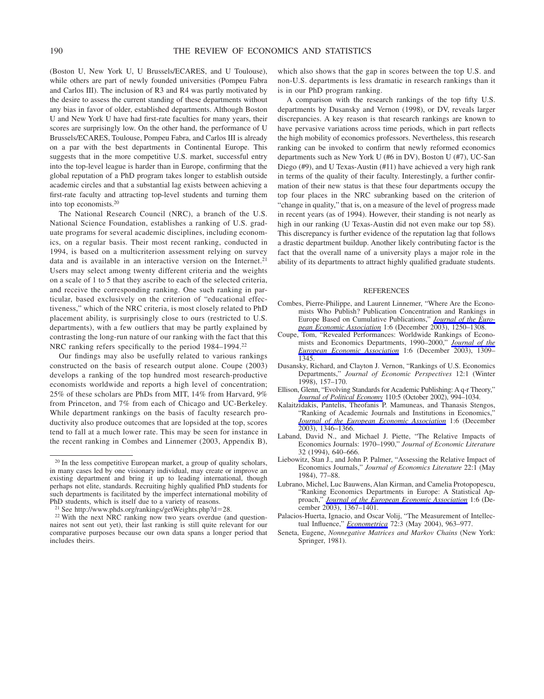(Boston U, New York U, U Brussels/ECARES, and U Toulouse), while others are part of newly founded universities (Pompeu Fabra and Carlos III). The inclusion of R3 and R4 was partly motivated by the desire to assess the current standing of these departments without any bias in favor of older, established departments. Although Boston U and New York U have had first-rate faculties for many years, their scores are surprisingly low. On the other hand, the performance of U Brussels/ECARES, Toulouse, Pompeu Fabra, and Carlos III is already on a par with the best departments in Continental Europe. This suggests that in the more competitive U.S. market, successful entry into the top-level league is harder than in Europe, confirming that the global reputation of a PhD program takes longer to establish outside academic circles and that a substantial lag exists between achieving a first-rate faculty and attracting top-level students and turning them into top economists.20

The National Research Council (NRC), a branch of the U.S. National Science Foundation, establishes a ranking of U.S. graduate programs for several academic disciplines, including economics, on a regular basis. Their most recent ranking, conducted in 1994, is based on a multicriterion assessment relying on survey data and is available in an interactive version on the Internet.<sup>21</sup> Users may select among twenty different criteria and the weights on a scale of 1 to 5 that they ascribe to each of the selected criteria, and receive the corresponding ranking. One such ranking in particular, based exclusively on the criterion of "educational effectiveness," which of the NRC criteria, is most closely related to PhD placement ability, is surprisingly close to ours (restricted to U.S. departments), with a few outliers that may be partly explained by contrasting the long-run nature of our ranking with the fact that this NRC ranking refers specifically to the period 1984–1994.<sup>22</sup>

Our findings may also be usefully related to various rankings constructed on the basis of research output alone. Coupe (2003) develops a ranking of the top hundred most research-productive economists worldwide and reports a high level of concentration; 25% of these scholars are PhDs from MIT, 14% from Harvard, 9% from Princeton, and 7% from each of Chicago and UC-Berkeley. While department rankings on the basis of faculty research productivity also produce outcomes that are lopsided at the top, scores tend to fall at a much lower rate. This may be seen for instance in the recent ranking in Combes and Linnemer (2003, Appendix B),

which also shows that the gap in scores between the top U.S. and non-U.S. departments is less dramatic in research rankings than it is in our PhD program ranking.

A comparison with the research rankings of the top fifty U.S. departments by Dusansky and Vernon (1998), or DV, reveals larger discrepancies. A key reason is that research rankings are known to have pervasive variations across time periods, which in part reflects the high mobility of economics professors. Nevertheless, this research ranking can be invoked to confirm that newly reformed economics departments such as New York U (#6 in DV), Boston U (#7), UC-San Diego (#9), and U Texas-Austin (#11) have achieved a very high rank in terms of the quality of their faculty. Interestingly, a further confirmation of their new status is that these four departments occupy the top four places in the NRC subranking based on the criterion of "change in quality," that is, on a measure of the level of progress made in recent years (as of 1994). However, their standing is not nearly as high in our ranking (U Texas-Austin did not even make our top 58). This discrepancy is further evidence of the reputation lag that follows a drastic department buildup. Another likely contributing factor is the fact that the overall name of a university plays a major role in the ability of its departments to attract highly qualified graduate students.

#### REFERENCES

- Combes, Pierre-Philippe, and Laurent Linnemer, "Where Are the Economists Who Publish? Publication Concentration and Rankings in Europe Based on Cumulative Publications," *Journal of the European Economic Association* 1:6 (December 2003), 1250–1308.
- Coupe, Tom, "Revealed Performances: Worldwide Rankings of Economists and Economics Departments, 1990–2000," *Journal of the European Economic Association* 1:6 (December 2003), 1309– 1345.
- Dusansky, Richard, and Clayton J. Vernon, "Rankings of U.S. Economics Departments," *Journal of Economic Perspectives* 12:1 (Winter 1998), 157–170.
- Ellison, Glenn, "Evolving Standards for Academic Publishing: A q-r Theory," *Journal of Political Economy* 110:5 (October 2002), 994–1034.
- Kalaitzidakis, Pantelis, Theofanis P. Mamuneas, and Thanasis Stengos, "Ranking of Academic Journals and Institutions in Economics," *Journal of the European Economic Association* 1:6 (December 2003), 1346–1366.
- Laband, David N., and Michael J. Piette, "The Relative Impacts of Economics Journals: 1970–1990," *Journal of Economic Literature* 32 (1994), 640–666.
- Liebowitz, Stan J., and John P. Palmer, "Assessing the Relative Impact of Economics Journals," *Journal of Economics Literature* 22:1 (May 1984), 77–88.
- Lubrano, Michel, Luc Bauwens, Alan Kirman, and Camelia Protopopescu, "Ranking Economics Departments in Europe: A Statistical Approach," *Journal of the European Economic Association* 1:6 (December 2003), 1367–1401.
- Palacios-Huerta, Ignacio, and Oscar Volij, "The Measurement of Intellectual Influence," *Econometrica* 72:3 (May 2004), 963–977.
- Seneta, Eugene, *Nonnegative Matrices and Markov Chains* (New York: Springer, 1981).

<sup>&</sup>lt;sup>20</sup> In the less competitive European market, a group of quality scholars, in many cases led by one visionary individual, may create or improve an existing department and bring it up to leading international, though perhaps not elite, standards. Recruiting highly qualified PhD students for such departments is facilitated by the imperfect international mobility of PhD students, which is itself due to a variety of reasons.

<sup>&</sup>lt;sup>21</sup> See http://www.phds.org/rankings/getWeights.php?d=28.

<sup>&</sup>lt;sup>22</sup> With the next NRC ranking now two years overdue (and questionnaires not sent out yet), their last ranking is still quite relevant for our comparative purposes because our own data spans a longer period that includes theirs.